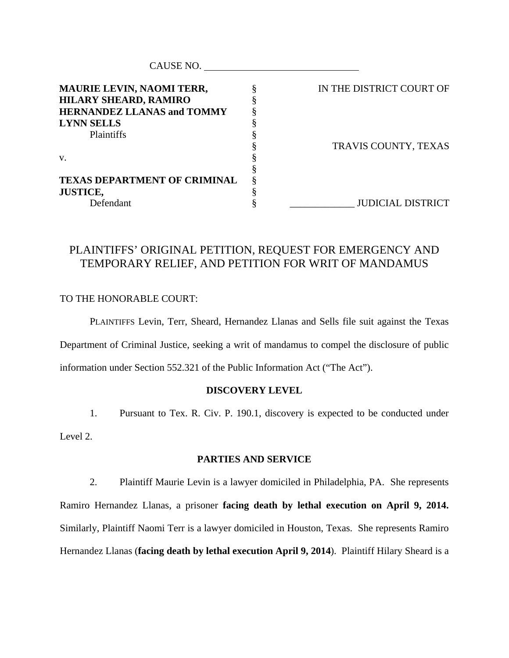| CAUSE NO.                           |                          |
|-------------------------------------|--------------------------|
| <b>MAURIE LEVIN, NAOMI TERR,</b>    | IN THE DISTRICT COURT OF |
| <b>HILARY SHEARD, RAMIRO</b>        |                          |
| <b>HERNANDEZ LLANAS and TOMMY</b>   |                          |
| <b>LYNN SELLS</b>                   |                          |
| Plaintiffs                          |                          |
|                                     | TRAVIS COUNTY, TEXAS     |
| V.                                  |                          |
|                                     |                          |
| <b>TEXAS DEPARTMENT OF CRIMINAL</b> |                          |
| <b>JUSTICE,</b>                     |                          |
| Defendant                           | <b>JUDICIAL DISTRICT</b> |

## PLAINTIFFS' ORIGINAL PETITION, REQUEST FOR EMERGENCY AND TEMPORARY RELIEF, AND PETITION FOR WRIT OF MANDAMUS

## TO THE HONORABLE COURT:

 PLAINTIFFS Levin, Terr, Sheard, Hernandez Llanas and Sells file suit against the Texas Department of Criminal Justice, seeking a writ of mandamus to compel the disclosure of public information under Section 552.321 of the Public Information Act ("The Act").

## **DISCOVERY LEVEL**

1. Pursuant to Tex. R. Civ. P. 190.1, discovery is expected to be conducted under Level 2.

## **PARTIES AND SERVICE**

2. Plaintiff Maurie Levin is a lawyer domiciled in Philadelphia, PA. She represents Ramiro Hernandez Llanas, a prisoner **facing death by lethal execution on April 9, 2014.**  Similarly, Plaintiff Naomi Terr is a lawyer domiciled in Houston, Texas. She represents Ramiro Hernandez Llanas (**facing death by lethal execution April 9, 2014**). Plaintiff Hilary Sheard is a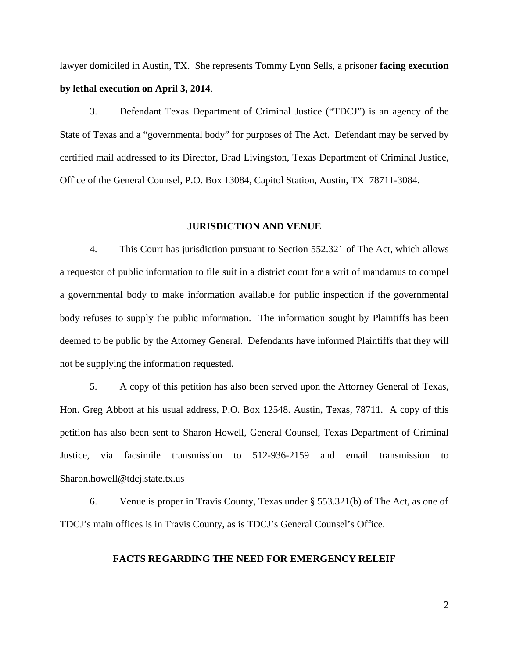lawyer domiciled in Austin, TX. She represents Tommy Lynn Sells, a prisoner **facing execution by lethal execution on April 3, 2014**.

 3. Defendant Texas Department of Criminal Justice ("TDCJ") is an agency of the State of Texas and a "governmental body" for purposes of The Act. Defendant may be served by certified mail addressed to its Director, Brad Livingston, Texas Department of Criminal Justice, Office of the General Counsel, P.O. Box 13084, Capitol Station, Austin, TX 78711-3084.

#### **JURISDICTION AND VENUE**

 4. This Court has jurisdiction pursuant to Section 552.321 of The Act, which allows a requestor of public information to file suit in a district court for a writ of mandamus to compel a governmental body to make information available for public inspection if the governmental body refuses to supply the public information. The information sought by Plaintiffs has been deemed to be public by the Attorney General. Defendants have informed Plaintiffs that they will not be supplying the information requested.

 5. A copy of this petition has also been served upon the Attorney General of Texas, Hon. Greg Abbott at his usual address, P.O. Box 12548. Austin, Texas, 78711. A copy of this petition has also been sent to Sharon Howell, General Counsel, Texas Department of Criminal Justice, via facsimile transmission to 512-936-2159 and email transmission to Sharon.howell@tdcj.state.tx.us

 6. Venue is proper in Travis County, Texas under § 553.321(b) of The Act, as one of TDCJ's main offices is in Travis County, as is TDCJ's General Counsel's Office.

### **FACTS REGARDING THE NEED FOR EMERGENCY RELEIF**

2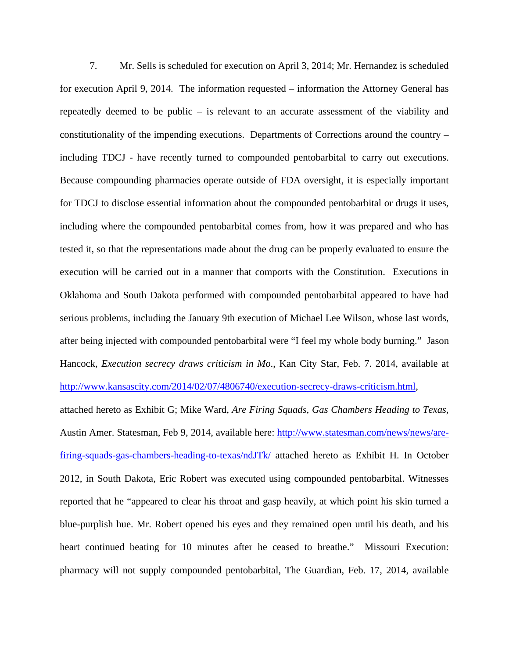7. Mr. Sells is scheduled for execution on April 3, 2014; Mr. Hernandez is scheduled for execution April 9, 2014. The information requested – information the Attorney General has repeatedly deemed to be public – is relevant to an accurate assessment of the viability and constitutionality of the impending executions. Departments of Corrections around the country – including TDCJ - have recently turned to compounded pentobarbital to carry out executions. Because compounding pharmacies operate outside of FDA oversight, it is especially important for TDCJ to disclose essential information about the compounded pentobarbital or drugs it uses, including where the compounded pentobarbital comes from, how it was prepared and who has tested it, so that the representations made about the drug can be properly evaluated to ensure the execution will be carried out in a manner that comports with the Constitution. Executions in Oklahoma and South Dakota performed with compounded pentobarbital appeared to have had serious problems, including the January 9th execution of Michael Lee Wilson, whose last words, after being injected with compounded pentobarbital were "I feel my whole body burning." Jason Hancock, *Execution secrecy draws criticism in Mo*., Kan City Star, Feb. 7. 2014, available at http://www.kansascity.com/2014/02/07/4806740/execution-secrecy-draws-criticism.html,

attached hereto as Exhibit G; Mike Ward, *Are Firing Squads, Gas Chambers Heading to Texas*, Austin Amer. Statesman, Feb 9, 2014, available here: http://www.statesman.com/news/news/arefiring-squads-gas-chambers-heading-to-texas/ndJTk/ attached hereto as Exhibit H. In October 2012, in South Dakota, Eric Robert was executed using compounded pentobarbital. Witnesses reported that he "appeared to clear his throat and gasp heavily, at which point his skin turned a blue-purplish hue. Mr. Robert opened his eyes and they remained open until his death, and his heart continued beating for 10 minutes after he ceased to breathe." Missouri Execution: pharmacy will not supply compounded pentobarbital, The Guardian, Feb. 17, 2014, available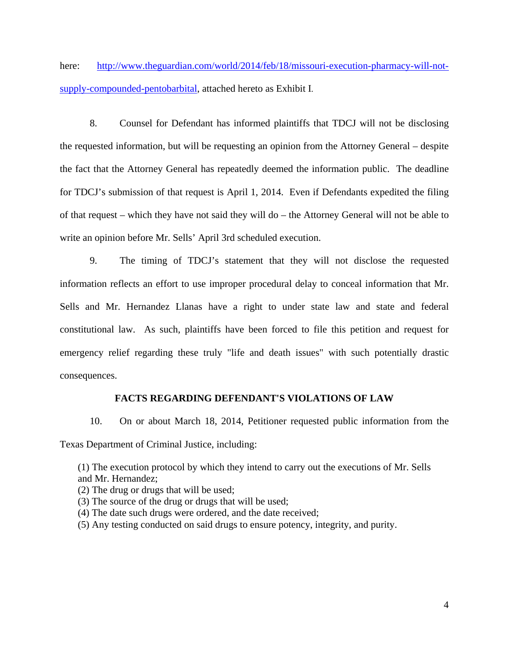here: http://www.theguardian.com/world/2014/feb/18/missouri-execution-pharmacy-will-notsupply-compounded-pentobarbital, attached hereto as Exhibit I.

8. Counsel for Defendant has informed plaintiffs that TDCJ will not be disclosing the requested information, but will be requesting an opinion from the Attorney General – despite the fact that the Attorney General has repeatedly deemed the information public. The deadline for TDCJ's submission of that request is April 1, 2014. Even if Defendants expedited the filing of that request – which they have not said they will do – the Attorney General will not be able to write an opinion before Mr. Sells' April 3rd scheduled execution.

9. The timing of TDCJ's statement that they will not disclose the requested information reflects an effort to use improper procedural delay to conceal information that Mr. Sells and Mr. Hernandez Llanas have a right to under state law and state and federal constitutional law. As such, plaintiffs have been forced to file this petition and request for emergency relief regarding these truly "life and death issues" with such potentially drastic consequences.

## **FACTS REGARDING DEFENDANT'S VIOLATIONS OF LAW**

 10. On or about March 18, 2014, Petitioner requested public information from the Texas Department of Criminal Justice, including:

(1) The execution protocol by which they intend to carry out the executions of Mr. Sells and Mr. Hernandez;

(2) The drug or drugs that will be used;

- (3) The source of the drug or drugs that will be used;
- (4) The date such drugs were ordered, and the date received;
- (5) Any testing conducted on said drugs to ensure potency, integrity, and purity.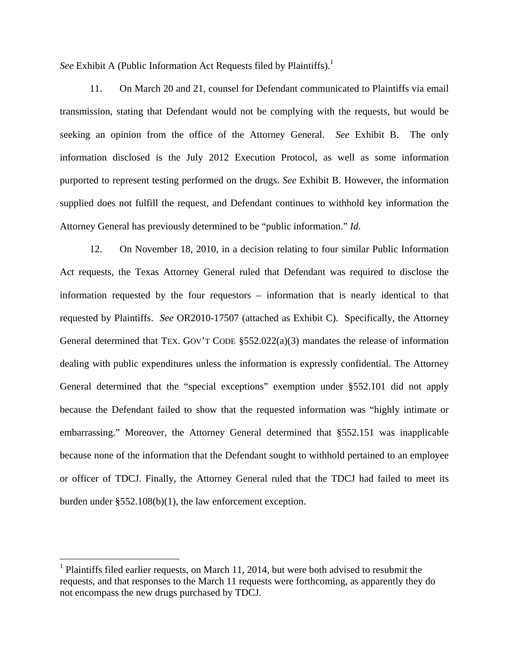See Exhibit A (Public Information Act Requests filed by Plaintiffs).<sup>1</sup>

 11. On March 20 and 21, counsel for Defendant communicated to Plaintiffs via email transmission, stating that Defendant would not be complying with the requests, but would be seeking an opinion from the office of the Attorney General. *See* Exhibit B. The only information disclosed is the July 2012 Execution Protocol, as well as some information purported to represent testing performed on the drugs. *See* Exhibit B. However, the information supplied does not fulfill the request, and Defendant continues to withhold key information the Attorney General has previously determined to be "public information." *Id*.

 12. On November 18, 2010, in a decision relating to four similar Public Information Act requests, the Texas Attorney General ruled that Defendant was required to disclose the information requested by the four requestors – information that is nearly identical to that requested by Plaintiffs. *See* OR2010-17507 (attached as Exhibit C). Specifically, the Attorney General determined that TEX. GOV'T CODE §552.022(a)(3) mandates the release of information dealing with public expenditures unless the information is expressly confidential. The Attorney General determined that the "special exceptions" exemption under §552.101 did not apply because the Defendant failed to show that the requested information was "highly intimate or embarrassing." Moreover, the Attorney General determined that §552.151 was inapplicable because none of the information that the Defendant sought to withhold pertained to an employee or officer of TDCJ. Finally, the Attorney General ruled that the TDCJ had failed to meet its burden under §552.108(b)(1), the law enforcement exception.

 $\overline{a}$ 

 $<sup>1</sup>$  Plaintiffs filed earlier requests, on March 11, 2014, but were both advised to resubmit the</sup> requests, and that responses to the March 11 requests were forthcoming, as apparently they do not encompass the new drugs purchased by TDCJ.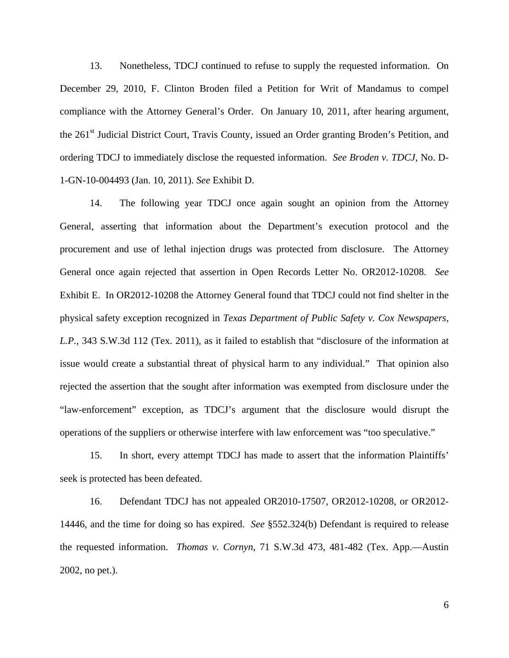13. Nonetheless, TDCJ continued to refuse to supply the requested information. On December 29, 2010, F. Clinton Broden filed a Petition for Writ of Mandamus to compel compliance with the Attorney General's Order. On January 10, 2011, after hearing argument, the 261st Judicial District Court, Travis County, issued an Order granting Broden's Petition, and ordering TDCJ to immediately disclose the requested information. *See Broden v. TDCJ*, No. D-1-GN-10-004493 (Jan. 10, 2011). *See* Exhibit D.

 14. The following year TDCJ once again sought an opinion from the Attorney General, asserting that information about the Department's execution protocol and the procurement and use of lethal injection drugs was protected from disclosure. The Attorney General once again rejected that assertion in Open Records Letter No. OR2012-10208. *See* Exhibit E. In OR2012-10208 the Attorney General found that TDCJ could not find shelter in the physical safety exception recognized in *Texas Department of Public Safety v. Cox Newspapers, L.P.*, 343 S.W.3d 112 (Tex. 2011), as it failed to establish that "disclosure of the information at issue would create a substantial threat of physical harm to any individual." That opinion also rejected the assertion that the sought after information was exempted from disclosure under the "law-enforcement" exception, as TDCJ's argument that the disclosure would disrupt the operations of the suppliers or otherwise interfere with law enforcement was "too speculative."

15. In short, every attempt TDCJ has made to assert that the information Plaintiffs' seek is protected has been defeated.

 16. Defendant TDCJ has not appealed OR2010-17507, OR2012-10208, or OR2012- 14446, and the time for doing so has expired. *See* §552.324(b) Defendant is required to release the requested information. *Thomas v. Cornyn*, 71 S.W.3d 473, 481-482 (Tex. App.—Austin 2002, no pet.).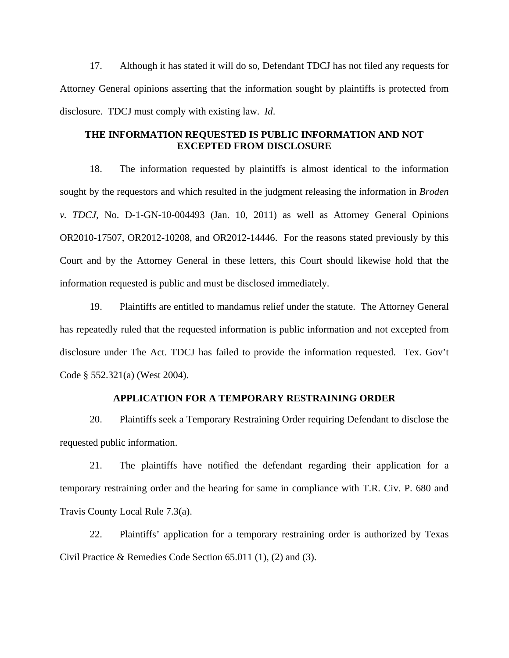17. Although it has stated it will do so, Defendant TDCJ has not filed any requests for Attorney General opinions asserting that the information sought by plaintiffs is protected from disclosure. TDCJ must comply with existing law. *Id*.

## **THE INFORMATION REQUESTED IS PUBLIC INFORMATION AND NOT EXCEPTED FROM DISCLOSURE**

18. The information requested by plaintiffs is almost identical to the information sought by the requestors and which resulted in the judgment releasing the information in *Broden v. TDCJ*, No. D-1-GN-10-004493 (Jan. 10, 2011) as well as Attorney General Opinions OR2010-17507, OR2012-10208, and OR2012-14446. For the reasons stated previously by this Court and by the Attorney General in these letters, this Court should likewise hold that the information requested is public and must be disclosed immediately.

19. Plaintiffs are entitled to mandamus relief under the statute. The Attorney General has repeatedly ruled that the requested information is public information and not excepted from disclosure under The Act. TDCJ has failed to provide the information requested. Tex. Gov't Code § 552.321(a) (West 2004).

## **APPLICATION FOR A TEMPORARY RESTRAINING ORDER**

20. Plaintiffs seek a Temporary Restraining Order requiring Defendant to disclose the requested public information.

21. The plaintiffs have notified the defendant regarding their application for a temporary restraining order and the hearing for same in compliance with T.R. Civ. P. 680 and Travis County Local Rule 7.3(a).

22. Plaintiffs' application for a temporary restraining order is authorized by Texas Civil Practice & Remedies Code Section 65.011 (1), (2) and (3).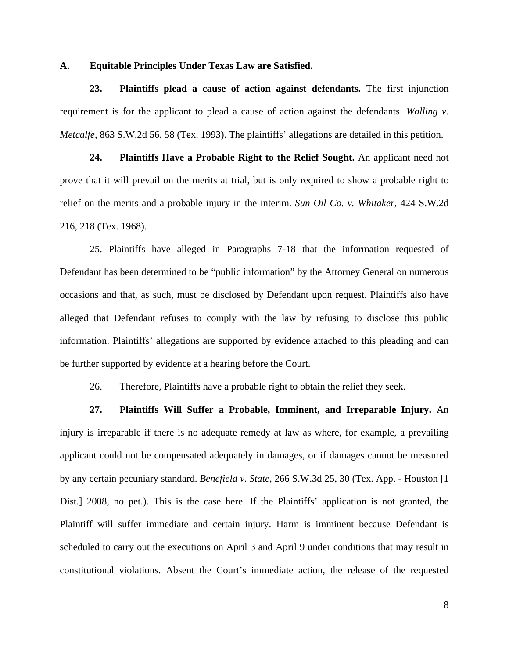#### **A. Equitable Principles Under Texas Law are Satisfied.**

**23. Plaintiffs plead a cause of action against defendants.** The first injunction requirement is for the applicant to plead a cause of action against the defendants. *Walling v. Metcalfe*, 863 S.W.2d 56, 58 (Tex. 1993). The plaintiffs' allegations are detailed in this petition.

**24. Plaintiffs Have a Probable Right to the Relief Sought.** An applicant need not prove that it will prevail on the merits at trial, but is only required to show a probable right to relief on the merits and a probable injury in the interim. *Sun Oil Co. v. Whitaker*, 424 S.W.2d 216, 218 (Tex. 1968).

25. Plaintiffs have alleged in Paragraphs 7-18 that the information requested of Defendant has been determined to be "public information" by the Attorney General on numerous occasions and that, as such, must be disclosed by Defendant upon request. Plaintiffs also have alleged that Defendant refuses to comply with the law by refusing to disclose this public information. Plaintiffs' allegations are supported by evidence attached to this pleading and can be further supported by evidence at a hearing before the Court.

26. Therefore, Plaintiffs have a probable right to obtain the relief they seek.

**27. Plaintiffs Will Suffer a Probable, Imminent, and Irreparable Injury.** An injury is irreparable if there is no adequate remedy at law as where, for example, a prevailing applicant could not be compensated adequately in damages, or if damages cannot be measured by any certain pecuniary standard. *Benefield v. State*, 266 S.W.3d 25, 30 (Tex. App. - Houston [1 Dist.] 2008, no pet.). This is the case here. If the Plaintiffs' application is not granted, the Plaintiff will suffer immediate and certain injury. Harm is imminent because Defendant is scheduled to carry out the executions on April 3 and April 9 under conditions that may result in constitutional violations. Absent the Court's immediate action, the release of the requested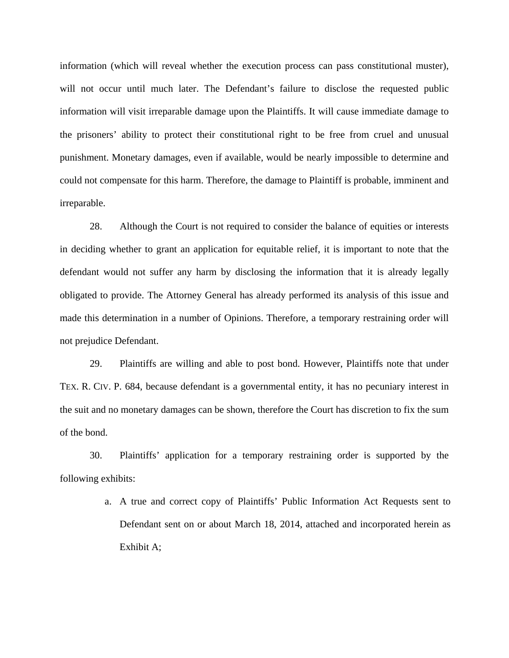information (which will reveal whether the execution process can pass constitutional muster), will not occur until much later. The Defendant's failure to disclose the requested public information will visit irreparable damage upon the Plaintiffs. It will cause immediate damage to the prisoners' ability to protect their constitutional right to be free from cruel and unusual punishment. Monetary damages, even if available, would be nearly impossible to determine and could not compensate for this harm. Therefore, the damage to Plaintiff is probable, imminent and irreparable.

28. Although the Court is not required to consider the balance of equities or interests in deciding whether to grant an application for equitable relief, it is important to note that the defendant would not suffer any harm by disclosing the information that it is already legally obligated to provide. The Attorney General has already performed its analysis of this issue and made this determination in a number of Opinions. Therefore, a temporary restraining order will not prejudice Defendant.

29. Plaintiffs are willing and able to post bond. However, Plaintiffs note that under TEX. R. CIV. P. 684, because defendant is a governmental entity, it has no pecuniary interest in the suit and no monetary damages can be shown, therefore the Court has discretion to fix the sum of the bond.

30. Plaintiffs' application for a temporary restraining order is supported by the following exhibits:

> a. A true and correct copy of Plaintiffs' Public Information Act Requests sent to Defendant sent on or about March 18, 2014, attached and incorporated herein as Exhibit A;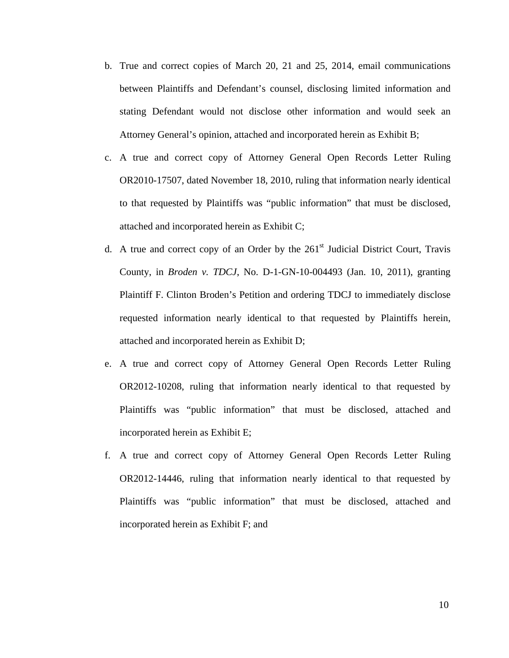- b. True and correct copies of March 20, 21 and 25, 2014, email communications between Plaintiffs and Defendant's counsel, disclosing limited information and stating Defendant would not disclose other information and would seek an Attorney General's opinion, attached and incorporated herein as Exhibit B;
- c. A true and correct copy of Attorney General Open Records Letter Ruling OR2010-17507, dated November 18, 2010, ruling that information nearly identical to that requested by Plaintiffs was "public information" that must be disclosed, attached and incorporated herein as Exhibit C;
- d. A true and correct copy of an Order by the  $261<sup>st</sup>$  Judicial District Court, Travis County, in *Broden v. TDCJ*, No. D-1-GN-10-004493 (Jan. 10, 2011), granting Plaintiff F. Clinton Broden's Petition and ordering TDCJ to immediately disclose requested information nearly identical to that requested by Plaintiffs herein, attached and incorporated herein as Exhibit D;
- e. A true and correct copy of Attorney General Open Records Letter Ruling OR2012-10208, ruling that information nearly identical to that requested by Plaintiffs was "public information" that must be disclosed, attached and incorporated herein as Exhibit E;
- f. A true and correct copy of Attorney General Open Records Letter Ruling OR2012-14446, ruling that information nearly identical to that requested by Plaintiffs was "public information" that must be disclosed, attached and incorporated herein as Exhibit F; and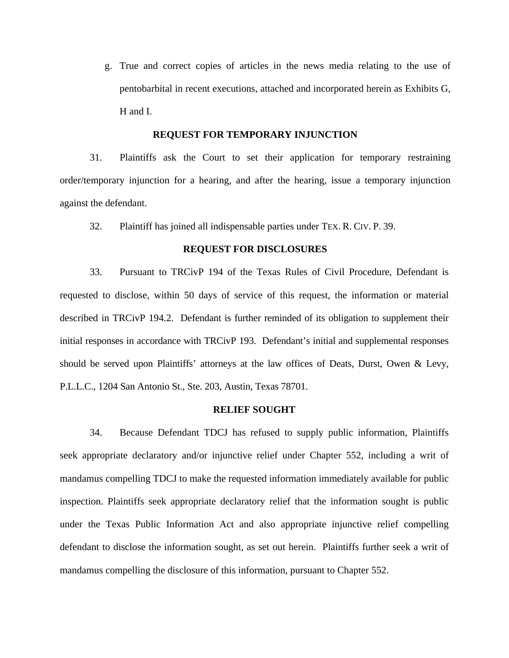g. True and correct copies of articles in the news media relating to the use of pentobarbital in recent executions, attached and incorporated herein as Exhibits G, H and I.

#### **REQUEST FOR TEMPORARY INJUNCTION**

31. Plaintiffs ask the Court to set their application for temporary restraining order/temporary injunction for a hearing, and after the hearing, issue a temporary injunction against the defendant.

32. Plaintiff has joined all indispensable parties under TEX. R. CIV. P. 39.

#### **REQUEST FOR DISCLOSURES**

33. Pursuant to TRCivP 194 of the Texas Rules of Civil Procedure, Defendant is requested to disclose, within 50 days of service of this request, the information or material described in TRCivP 194.2. Defendant is further reminded of its obligation to supplement their initial responses in accordance with TRCivP 193. Defendant's initial and supplemental responses should be served upon Plaintiffs' attorneys at the law offices of Deats, Durst, Owen & Levy, P.L.L.C., 1204 San Antonio St., Ste. 203, Austin, Texas 78701.

#### **RELIEF SOUGHT**

 34. Because Defendant TDCJ has refused to supply public information, Plaintiffs seek appropriate declaratory and/or injunctive relief under Chapter 552, including a writ of mandamus compelling TDCJ to make the requested information immediately available for public inspection. Plaintiffs seek appropriate declaratory relief that the information sought is public under the Texas Public Information Act and also appropriate injunctive relief compelling defendant to disclose the information sought, as set out herein. Plaintiffs further seek a writ of mandamus compelling the disclosure of this information, pursuant to Chapter 552.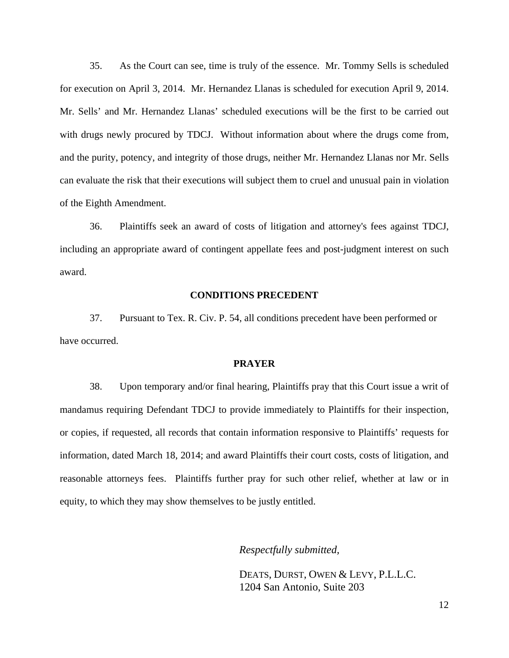35. As the Court can see, time is truly of the essence. Mr. Tommy Sells is scheduled for execution on April 3, 2014. Mr. Hernandez Llanas is scheduled for execution April 9, 2014. Mr. Sells' and Mr. Hernandez Llanas' scheduled executions will be the first to be carried out with drugs newly procured by TDCJ. Without information about where the drugs come from, and the purity, potency, and integrity of those drugs, neither Mr. Hernandez Llanas nor Mr. Sells can evaluate the risk that their executions will subject them to cruel and unusual pain in violation of the Eighth Amendment.

 36. Plaintiffs seek an award of costs of litigation and attorney's fees against TDCJ, including an appropriate award of contingent appellate fees and post-judgment interest on such award.

#### **CONDITIONS PRECEDENT**

 37. Pursuant to Tex. R. Civ. P. 54, all conditions precedent have been performed or have occurred.

#### **PRAYER**

38. Upon temporary and/or final hearing, Plaintiffs pray that this Court issue a writ of mandamus requiring Defendant TDCJ to provide immediately to Plaintiffs for their inspection, or copies, if requested, all records that contain information responsive to Plaintiffs' requests for information, dated March 18, 2014; and award Plaintiffs their court costs, costs of litigation, and reasonable attorneys fees. Plaintiffs further pray for such other relief, whether at law or in equity, to which they may show themselves to be justly entitled.

 *Respectfully submitted,*

 DEATS, DURST, OWEN & LEVY, P.L.L.C. 1204 San Antonio, Suite 203

12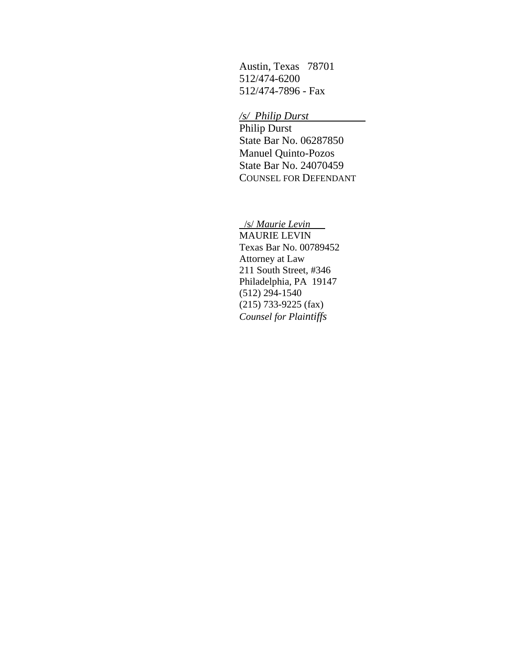Austin, Texas 78701 512/474-6200 512/474-7896 - Fax

*/s/ Philip Durst* 

 Philip Durst State Bar No. 06287850 Manuel Quinto-Pozos State Bar No. 24070459 COUNSEL FOR DEFENDANT

/s/ *Maurie Levin*

MAURIE LEVIN Texas Bar No. 00789452 Attorney at Law 211 South Street, #346 Philadelphia, PA 19147 (512) 294-1540 (215) 733-9225 (fax) *Counsel for Plaintiffs*